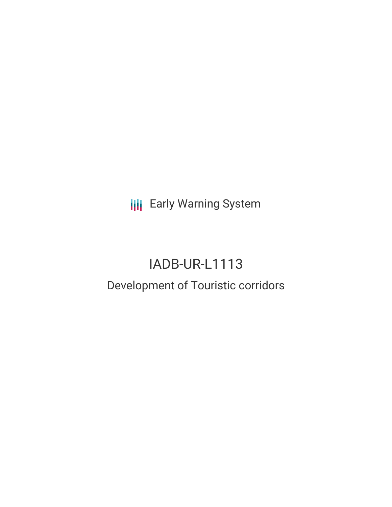**III** Early Warning System

# IADB-UR-L1113 Development of Touristic corridors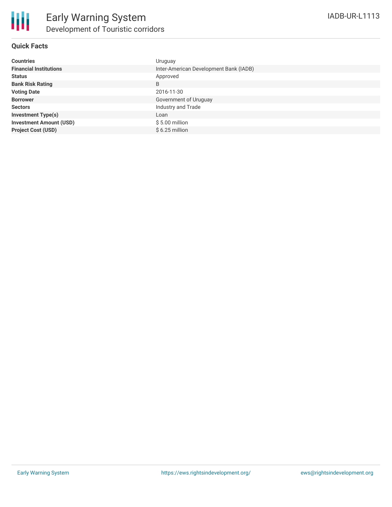# **Quick Facts**

| <b>Countries</b>               | Uruguay                                |
|--------------------------------|----------------------------------------|
| <b>Financial Institutions</b>  | Inter-American Development Bank (IADB) |
| <b>Status</b>                  | Approved                               |
| <b>Bank Risk Rating</b>        | B                                      |
| <b>Voting Date</b>             | 2016-11-30                             |
| <b>Borrower</b>                | Government of Uruguay                  |
| <b>Sectors</b>                 | Industry and Trade                     |
| <b>Investment Type(s)</b>      | Loan                                   |
| <b>Investment Amount (USD)</b> | $$5.00$ million                        |
| <b>Project Cost (USD)</b>      | $$6.25$ million                        |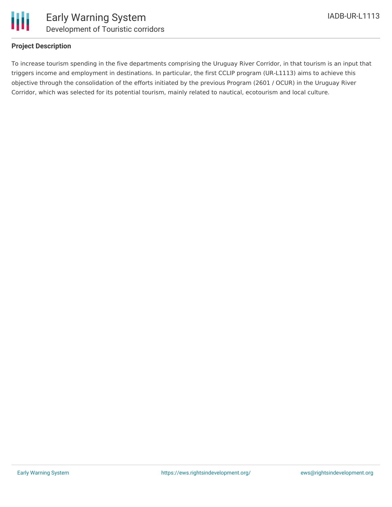

# **Project Description**

To increase tourism spending in the five departments comprising the Uruguay River Corridor, in that tourism is an input that triggers income and employment in destinations. In particular, the first CCLIP program (UR-L1113) aims to achieve this objective through the consolidation of the efforts initiated by the previous Program (2601 / OCUR) in the Uruguay River Corridor, which was selected for its potential tourism, mainly related to nautical, ecotourism and local culture.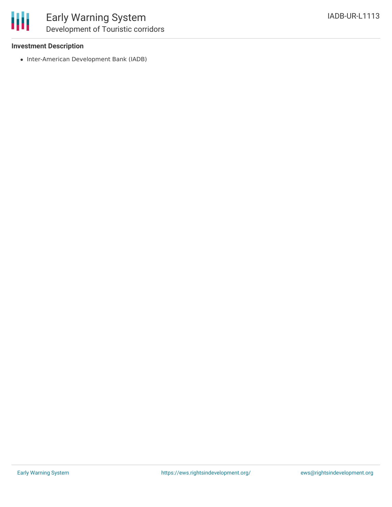

### **Investment Description**

• Inter-American Development Bank (IADB)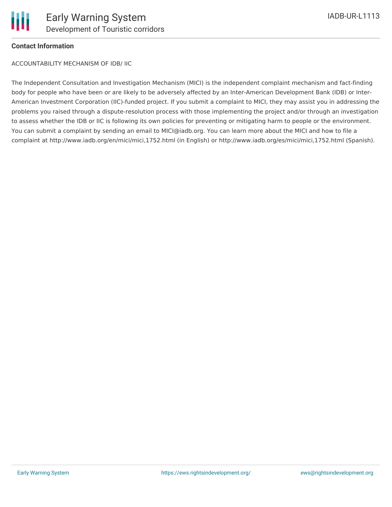

# **Contact Information**

ACCOUNTABILITY MECHANISM OF IDB/ IIC

The Independent Consultation and Investigation Mechanism (MICI) is the independent complaint mechanism and fact-finding body for people who have been or are likely to be adversely affected by an Inter-American Development Bank (IDB) or Inter-American Investment Corporation (IIC)-funded project. If you submit a complaint to MICI, they may assist you in addressing the problems you raised through a dispute-resolution process with those implementing the project and/or through an investigation to assess whether the IDB or IIC is following its own policies for preventing or mitigating harm to people or the environment. You can submit a complaint by sending an email to MICI@iadb.org. You can learn more about the MICI and how to file a complaint at http://www.iadb.org/en/mici/mici,1752.html (in English) or http://www.iadb.org/es/mici/mici,1752.html (Spanish).